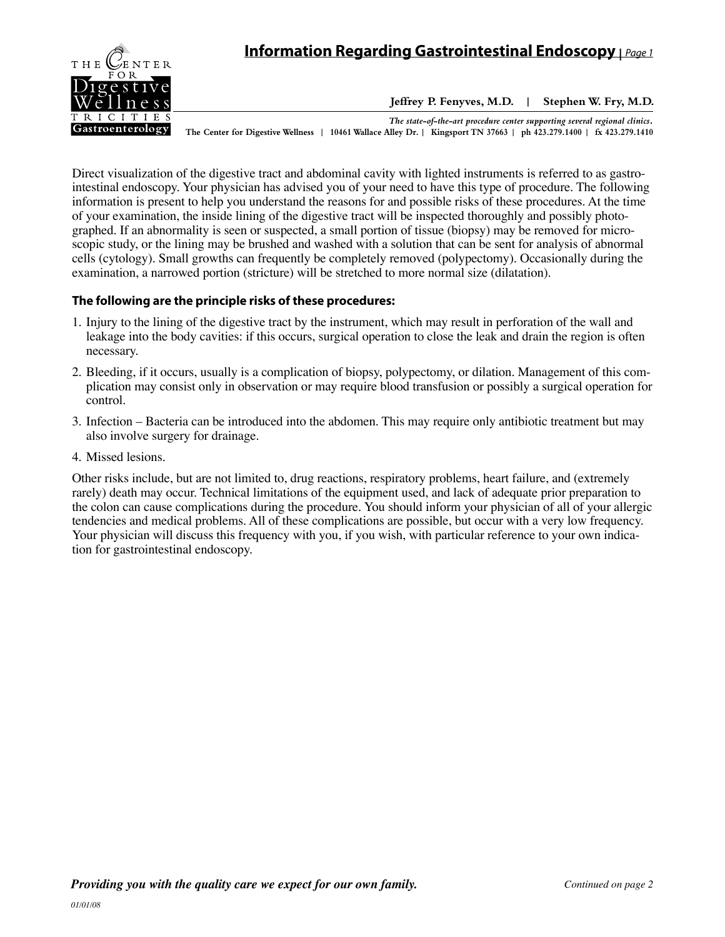

**Jeffrey P. Fenyves, M.D. | Stephen W. Fry, M.D.**

*The state-of-the-art procedure center supporting several regional clinics.* **The Center for Digestive Wellness | 10461 Wallace Alley Dr. | Kingsport TN 37663 | ph 423.279.1400 | fx 423.279.1410**

Direct visualization of the digestive tract and abdominal cavity with lighted instruments is referred to as gastrointestinal endoscopy. Your physician has advised you of your need to have this type of procedure. The following information is present to help you understand the reasons for and possible risks of these procedures. At the time of your examination, the inside lining of the digestive tract will be inspected thoroughly and possibly photographed. If an abnormality is seen or suspected, a small portion of tissue (biopsy) may be removed for microscopic study, or the lining may be brushed and washed with a solution that can be sent for analysis of abnormal cells (cytology). Small growths can frequently be completely removed (polypectomy). Occasionally during the examination, a narrowed portion (stricture) will be stretched to more normal size (dilatation).

## **The following are the principle risks of these procedures:**

- 1. Injury to the lining of the digestive tract by the instrument, which may result in perforation of the wall and leakage into the body cavities: if this occurs, surgical operation to close the leak and drain the region is often necessary.
- 2. Bleeding, if it occurs, usually is a complication of biopsy, polypectomy, or dilation. Management of this complication may consist only in observation or may require blood transfusion or possibly a surgical operation for control.
- 3. Infection Bacteria can be introduced into the abdomen. This may require only antibiotic treatment but may also involve surgery for drainage.
- 4. Missed lesions.

Other risks include, but are not limited to, drug reactions, respiratory problems, heart failure, and (extremely rarely) death may occur. Technical limitations of the equipment used, and lack of adequate prior preparation to the colon can cause complications during the procedure. You should inform your physician of all of your allergic tendencies and medical problems. All of these complications are possible, but occur with a very low frequency. Your physician will discuss this frequency with you, if you wish, with particular reference to your own indication for gastrointestinal endoscopy.